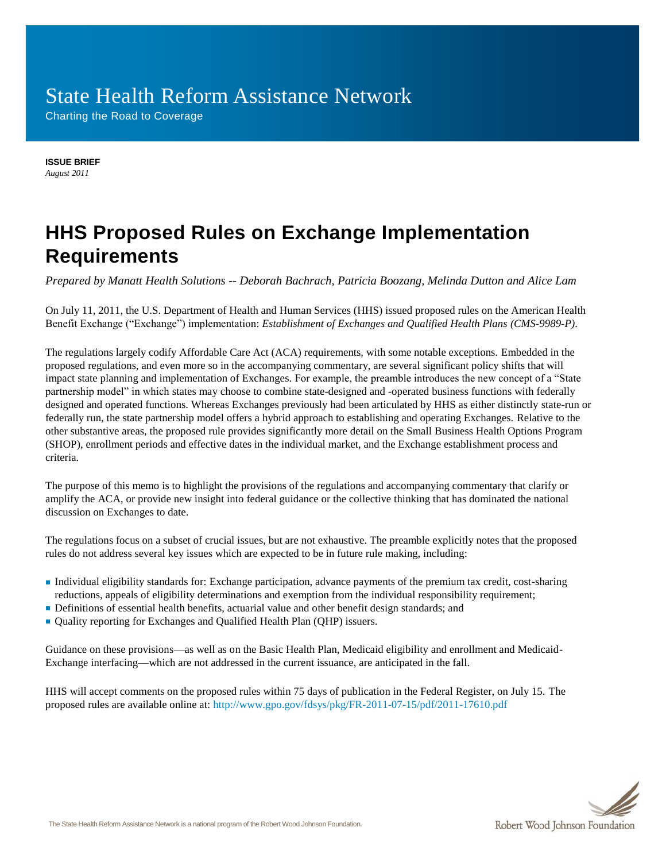# State Health Reform Assistance Network

Charting the Road to Coverage

**ISSUE BRIEF** *August 2011*

## **HHS Proposed Rules on Exchange Implementation Requirements**

*Prepared by Manatt Health Solutions -- Deborah Bachrach, Patricia Boozang, Melinda Dutton and Alice Lam*

On July 11, 2011, the U.S. Department of Health and Human Services (HHS) issued proposed rules on the American Health Benefit Exchange ("Exchange") implementation: *Establishment of Exchanges and Qualified Health Plans (CMS-9989-P)*.

The regulations largely codify Affordable Care Act (ACA) requirements, with some notable exceptions. Embedded in the proposed regulations, and even more so in the accompanying commentary, are several significant policy shifts that will impact state planning and implementation of Exchanges. For example, the preamble introduces the new concept of a "State" partnership model" in which states may choose to combine state-designed and -operated business functions with federally designed and operated functions. Whereas Exchanges previously had been articulated by HHS as either distinctly state-run or federally run, the state partnership model offers a hybrid approach to establishing and operating Exchanges. Relative to the other substantive areas, the proposed rule provides significantly more detail on the Small Business Health Options Program (SHOP), enrollment periods and effective dates in the individual market, and the Exchange establishment process and criteria.

The purpose of this memo is to highlight the provisions of the regulations and accompanying commentary that clarify or amplify the ACA, or provide new insight into federal guidance or the collective thinking that has dominated the national discussion on Exchanges to date.

The regulations focus on a subset of crucial issues, but are not exhaustive. The preamble explicitly notes that the proposed rules do not address several key issues which are expected to be in future rule making, including:

- Individual eligibility standards for: Exchange participation, advance payments of the premium tax credit, cost-sharing reductions, appeals of eligibility determinations and exemption from the individual responsibility requirement;
- Definitions of essential health benefits, actuarial value and other benefit design standards; and
- Quality reporting for Exchanges and Qualified Health Plan (QHP) issuers.

Guidance on these provisions—as well as on the Basic Health Plan, Medicaid eligibility and enrollment and Medicaid-Exchange interfacing—which are not addressed in the current issuance, are anticipated in the fall.

HHS will accept comments on the proposed rules within 75 days of publication in the Federal Register, on July 15. The proposed rules are available online at: <http://www.gpo.gov/fdsys/pkg/FR-2011-07-15/pdf/2011-17610.pdf>

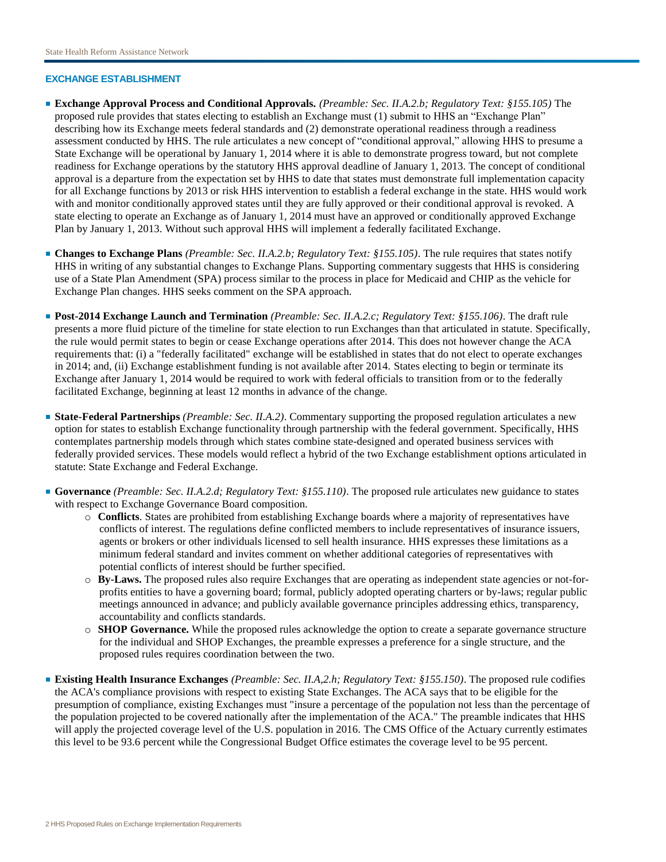## **EXCHANGE ESTABLISHMENT**

- **Exchange Approval Process and Conditional Approvals.** *(Preamble: Sec. II.A.2.b; Regulatory Text: §155.105)* The proposed rule provides that states electing to establish an Exchange must (1) submit to HHS an "Exchange Plan" describing how its Exchange meets federal standards and (2) demonstrate operational readiness through a readiness assessment conducted by HHS. The rule articulates a new concept of "conditional approval," allowing HHS to presume a State Exchange will be operational by January 1, 2014 where it is able to demonstrate progress toward, but not complete readiness for Exchange operations by the statutory HHS approval deadline of January 1, 2013. The concept of conditional approval is a departure from the expectation set by HHS to date that states must demonstrate full implementation capacity for all Exchange functions by 2013 or risk HHS intervention to establish a federal exchange in the state. HHS would work with and monitor conditionally approved states until they are fully approved or their conditional approval is revoked. A state electing to operate an Exchange as of January 1, 2014 must have an approved or conditionally approved Exchange Plan by January 1, 2013. Without such approval HHS will implement a federally facilitated Exchange.
- **Changes to Exchange Plans** *(Preamble: Sec. II.A.2.b; Regulatory Text: §155.105)*. The rule requires that states notify HHS in writing of any substantial changes to Exchange Plans. Supporting commentary suggests that HHS is considering use of a State Plan Amendment (SPA) process similar to the process in place for Medicaid and CHIP as the vehicle for Exchange Plan changes. HHS seeks comment on the SPA approach.
- **Post-2014 Exchange Launch and Termination** *(Preamble: Sec. II.A.2.c; Regulatory Text: §155.106)*. The draft rule presents a more fluid picture of the timeline for state election to run Exchanges than that articulated in statute. Specifically, the rule would permit states to begin or cease Exchange operations after 2014. This does not however change the ACA requirements that: (i) a "federally facilitated" exchange will be established in states that do not elect to operate exchanges in 2014; and, (ii) Exchange establishment funding is not available after 2014. States electing to begin or terminate its Exchange after January 1, 2014 would be required to work with federal officials to transition from or to the federally facilitated Exchange, beginning at least 12 months in advance of the change.
- **State-Federal Partnerships** *(Preamble: Sec. II.A.2)*. Commentary supporting the proposed regulation articulates a new option for states to establish Exchange functionality through partnership with the federal government. Specifically, HHS contemplates partnership models through which states combine state-designed and operated business services with federally provided services. These models would reflect a hybrid of the two Exchange establishment options articulated in statute: State Exchange and Federal Exchange.
- **Governance** *(Preamble: Sec. II.A.2.d; Regulatory Text: §155.110)*. The proposed rule articulates new guidance to states with respect to Exchange Governance Board composition.
	- o **Conflicts**. States are prohibited from establishing Exchange boards where a majority of representatives have conflicts of interest. The regulations define conflicted members to include representatives of insurance issuers, agents or brokers or other individuals licensed to sell health insurance. HHS expresses these limitations as a minimum federal standard and invites comment on whether additional categories of representatives with potential conflicts of interest should be further specified.
	- o **By-Laws.** The proposed rules also require Exchanges that are operating as independent state agencies or not-forprofits entities to have a governing board; formal, publicly adopted operating charters or by-laws; regular public meetings announced in advance; and publicly available governance principles addressing ethics, transparency, accountability and conflicts standards.
	- o **SHOP Governance.** While the proposed rules acknowledge the option to create a separate governance structure for the individual and SHOP Exchanges, the preamble expresses a preference for a single structure, and the proposed rules requires coordination between the two.
- **Existing Health Insurance Exchanges** *(Preamble: Sec. II.A,2.h; Regulatory Text: §155.150)*. The proposed rule codifies the ACA's compliance provisions with respect to existing State Exchanges. The ACA says that to be eligible for the presumption of compliance, existing Exchanges must "insure a percentage of the population not less than the percentage of the population projected to be covered nationally after the implementation of the ACA." The preamble indicates that HHS will apply the projected coverage level of the U.S. population in 2016. The CMS Office of the Actuary currently estimates this level to be 93.6 percent while the Congressional Budget Office estimates the coverage level to be 95 percent.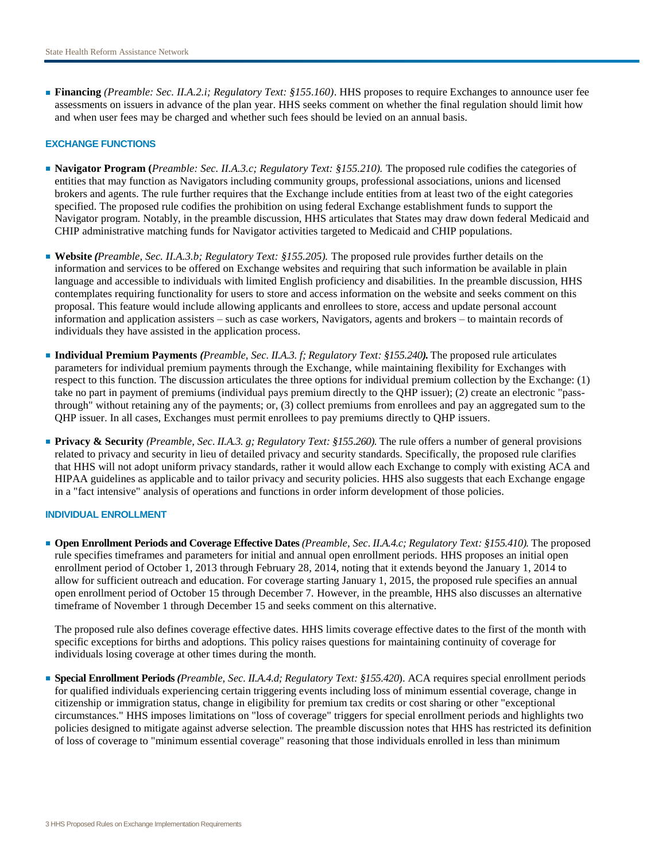■ **Financing** *(Preamble: Sec. II.A.2.i; Regulatory Text: §155.160)*. HHS proposes to require Exchanges to announce user fee assessments on issuers in advance of the plan year. HHS seeks comment on whether the final regulation should limit how and when user fees may be charged and whether such fees should be levied on an annual basis.

## **EXCHANGE FUNCTIONS**

- **Navigator Program (***Preamble: Sec. II.A.3.c; Regulatory Text: §155.210).* The proposed rule codifies the categories of entities that may function as Navigators including community groups, professional associations, unions and licensed brokers and agents. The rule further requires that the Exchange include entities from at least two of the eight categories specified. The proposed rule codifies the prohibition on using federal Exchange establishment funds to support the Navigator program. Notably, in the preamble discussion, HHS articulates that States may draw down federal Medicaid and CHIP administrative matching funds for Navigator activities targeted to Medicaid and CHIP populations.
- **Website** *(Preamble, Sec. II.A.3.b; Regulatory Text: §155.205).* The proposed rule provides further details on the information and services to be offered on Exchange websites and requiring that such information be available in plain language and accessible to individuals with limited English proficiency and disabilities. In the preamble discussion, HHS contemplates requiring functionality for users to store and access information on the website and seeks comment on this proposal. This feature would include allowing applicants and enrollees to store, access and update personal account information and application assisters – such as case workers, Navigators, agents and brokers – to maintain records of individuals they have assisted in the application process.
- **Individual Premium Payments** *(Preamble, Sec. II.A.3. f; Regulatory Text: §155.240).* The proposed rule articulates parameters for individual premium payments through the Exchange, while maintaining flexibility for Exchanges with respect to this function. The discussion articulates the three options for individual premium collection by the Exchange: (1) take no part in payment of premiums (individual pays premium directly to the QHP issuer); (2) create an electronic "passthrough" without retaining any of the payments; or, (3) collect premiums from enrollees and pay an aggregated sum to the QHP issuer. In all cases, Exchanges must permit enrollees to pay premiums directly to QHP issuers.
- **Privacy & Security** *(Preamble, Sec. II.A.3. g; Regulatory Text: §155.260).* The rule offers a number of general provisions related to privacy and security in lieu of detailed privacy and security standards. Specifically, the proposed rule clarifies that HHS will not adopt uniform privacy standards, rather it would allow each Exchange to comply with existing ACA and HIPAA guidelines as applicable and to tailor privacy and security policies. HHS also suggests that each Exchange engage in a "fact intensive" analysis of operations and functions in order inform development of those policies.

#### **INDIVIDUAL ENROLLMENT**

■ **Open Enrollment Periods and Coverage Effective Dates** *(Preamble, Sec. II.A.4.c; Regulatory Text: §155.410).* The proposed rule specifies timeframes and parameters for initial and annual open enrollment periods. HHS proposes an initial open enrollment period of October 1, 2013 through February 28, 2014, noting that it extends beyond the January 1, 2014 to allow for sufficient outreach and education. For coverage starting January 1, 2015, the proposed rule specifies an annual open enrollment period of October 15 through December 7. However, in the preamble, HHS also discusses an alternative timeframe of November 1 through December 15 and seeks comment on this alternative.

The proposed rule also defines coverage effective dates. HHS limits coverage effective dates to the first of the month with specific exceptions for births and adoptions. This policy raises questions for maintaining continuity of coverage for individuals losing coverage at other times during the month.

■ **Special Enrollment Periods** *(Preamble, Sec. II.A.4.d; Regulatory Text: §155.420*). ACA requires special enrollment periods for qualified individuals experiencing certain triggering events including loss of minimum essential coverage, change in citizenship or immigration status, change in eligibility for premium tax credits or cost sharing or other "exceptional circumstances." HHS imposes limitations on "loss of coverage" triggers for special enrollment periods and highlights two policies designed to mitigate against adverse selection. The preamble discussion notes that HHS has restricted its definition of loss of coverage to "minimum essential coverage" reasoning that those individuals enrolled in less than minimum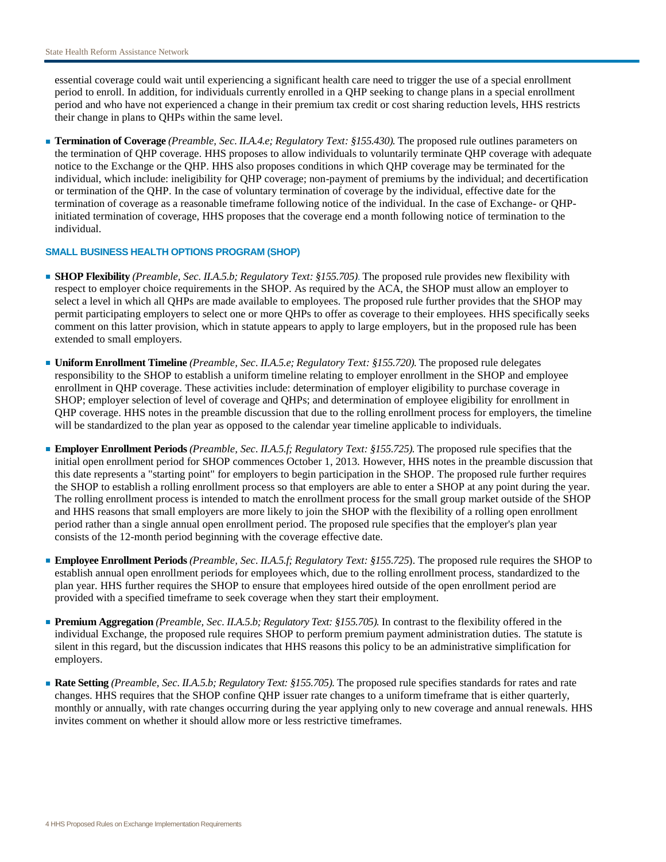essential coverage could wait until experiencing a significant health care need to trigger the use of a special enrollment period to enroll. In addition, for individuals currently enrolled in a QHP seeking to change plans in a special enrollment period and who have not experienced a change in their premium tax credit or cost sharing reduction levels, HHS restricts their change in plans to QHPs within the same level.

■ **Termination of Coverage** *(Preamble, Sec. II.A.4.e; Regulatory Text: §155.430).* The proposed rule outlines parameters on the termination of QHP coverage. HHS proposes to allow individuals to voluntarily terminate QHP coverage with adequate notice to the Exchange or the QHP. HHS also proposes conditions in which QHP coverage may be terminated for the individual, which include: ineligibility for QHP coverage; non-payment of premiums by the individual; and decertification or termination of the QHP. In the case of voluntary termination of coverage by the individual, effective date for the termination of coverage as a reasonable timeframe following notice of the individual. In the case of Exchange- or QHPinitiated termination of coverage, HHS proposes that the coverage end a month following notice of termination to the individual.

## **SMALL BUSINESS HEALTH OPTIONS PROGRAM (SHOP)**

- **SHOP Flexibility** *(Preamble, Sec. II.A.5.b; Regulatory Text: §155.705)*. The proposed rule provides new flexibility with respect to employer choice requirements in the SHOP. As required by the ACA, the SHOP must allow an employer to select a level in which all QHPs are made available to employees. The proposed rule further provides that the SHOP may permit participating employers to select one or more QHPs to offer as coverage to their employees. HHS specifically seeks comment on this latter provision, which in statute appears to apply to large employers, but in the proposed rule has been extended to small employers.
- **Uniform Enrollment Timeline** *(Preamble, Sec. II.A.5.e; Regulatory Text: §155.720).* The proposed rule delegates responsibility to the SHOP to establish a uniform timeline relating to employer enrollment in the SHOP and employee enrollment in QHP coverage. These activities include: determination of employer eligibility to purchase coverage in SHOP; employer selection of level of coverage and QHPs; and determination of employee eligibility for enrollment in QHP coverage. HHS notes in the preamble discussion that due to the rolling enrollment process for employers, the timeline will be standardized to the plan year as opposed to the calendar year timeline applicable to individuals.
- **Employer Enrollment Periods** *(Preamble, Sec. II.A.5.f; Regulatory Text: §155.725).* The proposed rule specifies that the initial open enrollment period for SHOP commences October 1, 2013. However, HHS notes in the preamble discussion that this date represents a "starting point" for employers to begin participation in the SHOP. The proposed rule further requires the SHOP to establish a rolling enrollment process so that employers are able to enter a SHOP at any point during the year. The rolling enrollment process is intended to match the enrollment process for the small group market outside of the SHOP and HHS reasons that small employers are more likely to join the SHOP with the flexibility of a rolling open enrollment period rather than a single annual open enrollment period. The proposed rule specifies that the employer's plan year consists of the 12-month period beginning with the coverage effective date.
- **Employee Enrollment Periods** *(Preamble, Sec. II.A.5.f; Regulatory Text: §155.725*). The proposed rule requires the SHOP to establish annual open enrollment periods for employees which, due to the rolling enrollment process, standardized to the plan year. HHS further requires the SHOP to ensure that employees hired outside of the open enrollment period are provided with a specified timeframe to seek coverage when they start their employment.
- **Premium Aggregation** *(Preamble, Sec. II.A.5.b; Regulatory Text: §155.705).* In contrast to the flexibility offered in the individual Exchange, the proposed rule requires SHOP to perform premium payment administration duties. The statute is silent in this regard, but the discussion indicates that HHS reasons this policy to be an administrative simplification for employers.
- **Rate Setting** *(Preamble, Sec. II.A.5.b; Regulatory Text: §155.705).* The proposed rule specifies standards for rates and rate changes. HHS requires that the SHOP confine QHP issuer rate changes to a uniform timeframe that is either quarterly, monthly or annually, with rate changes occurring during the year applying only to new coverage and annual renewals. HHS invites comment on whether it should allow more or less restrictive timeframes.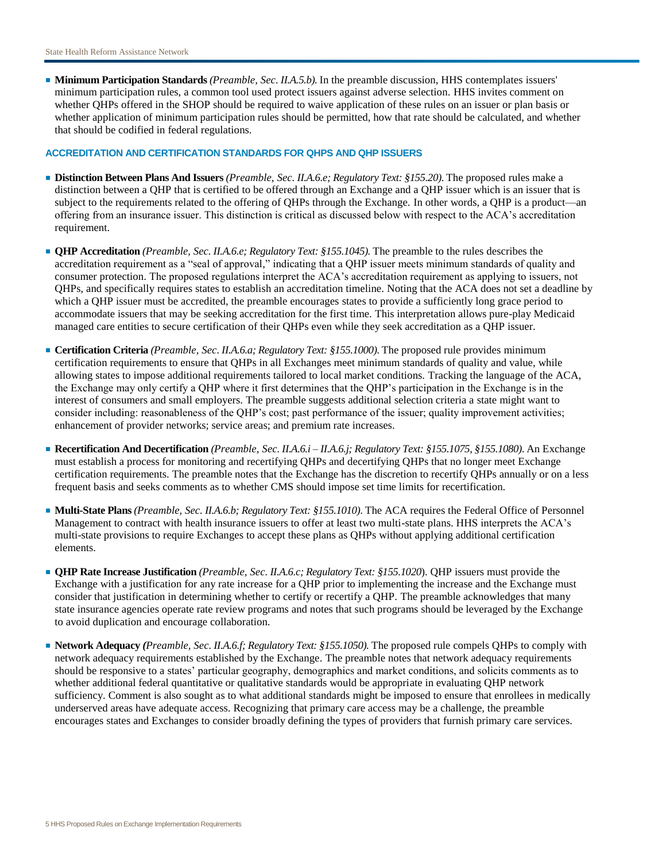■ **Minimum Participation Standards** *(Preamble, Sec. II.A.5.b).* In the preamble discussion, HHS contemplates issuers' minimum participation rules, a common tool used protect issuers against adverse selection. HHS invites comment on whether QHPs offered in the SHOP should be required to waive application of these rules on an issuer or plan basis or whether application of minimum participation rules should be permitted, how that rate should be calculated, and whether that should be codified in federal regulations.

## **ACCREDITATION AND CERTIFICATION STANDARDS FOR QHPS AND QHP ISSUERS**

- **Distinction Between Plans And Issuers** *(Preamble, Sec. II.A.6.e; Regulatory Text: §155.20)*. The proposed rules make a distinction between a QHP that is certified to be offered through an Exchange and a QHP issuer which is an issuer that is subject to the requirements related to the offering of QHPs through the Exchange. In other words, a QHP is a product—an offering from an insurance issuer. This distinction is critical as discussed below with respect to the ACA's accreditation requirement.
- **QHP Accreditation** *(Preamble, Sec. II.A.6.e; Regulatory Text: §155.1045).* The preamble to the rules describes the accreditation requirement as a "seal of approval," indicating that a QHP issuer meets minimum standards of quality and consumer protection. The proposed regulations interpret the ACA's accreditation requirement as applying to issuers, not QHPs, and specifically requires states to establish an accreditation timeline. Noting that the ACA does not set a deadline by which a QHP issuer must be accredited, the preamble encourages states to provide a sufficiently long grace period to accommodate issuers that may be seeking accreditation for the first time. This interpretation allows pure-play Medicaid managed care entities to secure certification of their QHPs even while they seek accreditation as a QHP issuer.
- **Certification Criteria** *(Preamble, Sec. II.A.6.a; Regulatory Text: §155.1000)*. The proposed rule provides minimum certification requirements to ensure that QHPs in all Exchanges meet minimum standards of quality and value, while allowing states to impose additional requirements tailored to local market conditions. Tracking the language of the ACA, the Exchange may only certify a QHP where it first determines that the QHP's participation in the Exchange is in the interest of consumers and small employers. The preamble suggests additional selection criteria a state might want to consider including: reasonableness of the QHP's cost; past performance of the issuer; quality improvement activities; enhancement of provider networks; service areas; and premium rate increases.
- **Recertification And Decertification** *(Preamble, Sec. II.A.6.i – II.A.6.j; Regulatory Text: §155.1075, §155.1080)*. An Exchange must establish a process for monitoring and recertifying QHPs and decertifying QHPs that no longer meet Exchange certification requirements. The preamble notes that the Exchange has the discretion to recertify QHPs annually or on a less frequent basis and seeks comments as to whether CMS should impose set time limits for recertification.
- **Multi-State Plans** *(Preamble, Sec. II.A.6.b; Regulatory Text: §155.1010)*. The ACA requires the Federal Office of Personnel Management to contract with health insurance issuers to offer at least two multi-state plans. HHS interprets the ACA's multi-state provisions to require Exchanges to accept these plans as QHPs without applying additional certification elements.
- **QHP Rate Increase Justification** *(Preamble, Sec. II.A.6.c; Regulatory Text: §155.1020*). QHP issuers must provide the Exchange with a justification for any rate increase for a QHP prior to implementing the increase and the Exchange must consider that justification in determining whether to certify or recertify a QHP. The preamble acknowledges that many state insurance agencies operate rate review programs and notes that such programs should be leveraged by the Exchange to avoid duplication and encourage collaboration.
- **Network Adequacy** *(Preamble, Sec. II.A.6.f; Regulatory Text: §155.1050).* The proposed rule compels QHPs to comply with network adequacy requirements established by the Exchange. The preamble notes that network adequacy requirements should be responsive to a states' particular geography, demographics and market conditions, and solicits comments as to whether additional federal quantitative or qualitative standards would be appropriate in evaluating QHP network sufficiency. Comment is also sought as to what additional standards might be imposed to ensure that enrollees in medically underserved areas have adequate access. Recognizing that primary care access may be a challenge, the preamble encourages states and Exchanges to consider broadly defining the types of providers that furnish primary care services.